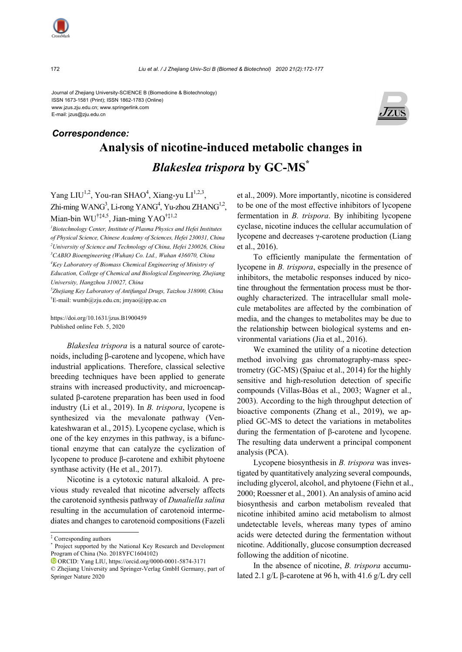

E-mail: jzus@zju.edu.cn



# **Analysis of nicotine-induced metabolic changes in**  *Blakeslea trispora* **by GC-MS\*** *Correspondence:*

Yang LIU<sup>1,2</sup>, You-ran SHAO<sup>4</sup>, Xiang-yu LI<sup>1,2,3</sup>, Zhi-ming WANG<sup>3</sup>, Li-rong YANG<sup>4</sup>, Yu-zhou ZHANG<sup>1,2</sup>, Mian-bin WU<sup>†‡4,5</sup>, Jian-ming YAO<sup>†‡1,2</sup>

<sup>1</sup>Biotechnology Center, Institute of Plasma Physics and Hefei Institutes *of Physical Science, Chinese Academy of Sciences, Hefei 230031, China 2 University of Science and Technology of China, Hefei 230026, China 3 CABIO Bioengineering (Wuhan) Co. Ltd., Wuhan 436070, China 4 Key Laboratory of Biomass Chemical Engineering of Ministry of Education, College of Chemical and Biological Engineering, Zhejiang University, Hangzhou 310027, China* 

*5 Zhejiang Key Laboratory of Antifungal Drugs, Taizhou 318000, China*  † E-mail: wumb@zju.edu.cn; jmyao@ipp.ac.cn

https://doi.org/10.1631/jzus.B1900459 Published online Feb. 5, 2020

*Blakeslea trispora* is a natural source of carotenoids, including β-carotene and lycopene, which have industrial applications. Therefore, classical selective breeding techniques have been applied to generate strains with increased productivity, and microencapsulated β-carotene preparation has been used in food industry (Li et al., 2019). In *B. trispora*, lycopene is synthesized via the mevalonate pathway (Venkateshwaran et al., 2015). Lycopene cyclase, which is one of the key enzymes in this pathway, is a bifunctional enzyme that can catalyze the cyclization of lycopene to produce β-carotene and exhibit phytoene synthase activity (He et al., 2017).

Nicotine is a cytotoxic natural alkaloid. A previous study revealed that nicotine adversely affects the carotenoid synthesis pathway of *Dunaliella salina* resulting in the accumulation of carotenoid intermediates and changes to carotenoid compositions (Fazeli et al., 2009). More importantly, nicotine is considered to be one of the most effective inhibitors of lycopene fermentation in *B. trispora*. By inhibiting lycopene cyclase, nicotine induces the cellular accumulation of lycopene and decreases γ-carotene production (Liang et al., 2016).

To efficiently manipulate the fermentation of lycopene in *B. trispora*, especially in the presence of inhibitors, the metabolic responses induced by nicotine throughout the fermentation process must be thoroughly characterized. The intracellular small molecule metabolites are affected by the combination of media, and the changes to metabolites may be due to the relationship between biological systems and environmental variations (Jia et al., 2016).

We examined the utility of a nicotine detection method involving gas chromatography-mass spectrometry (GC-MS) (Şpaiuc et al., 2014) for the highly sensitive and high-resolution detection of specific compounds (Villas-Bôas et al., 2003; Wagner et al., 2003). According to the high throughput detection of bioactive components (Zhang et al., 2019), we applied GC-MS to detect the variations in metabolites during the fermentation of β-carotene and lycopene. The resulting data underwent a principal component analysis (PCA).

Lycopene biosynthesis in *B. trispora* was investigated by quantitatively analyzing several compounds, including glycerol, alcohol, and phytoene (Fiehn et al., 2000; Roessner et al., 2001). An analysis of amino acid biosynthesis and carbon metabolism revealed that nicotine inhibited amino acid metabolism to almost undetectable levels, whereas many types of amino acids were detected during the fermentation without nicotine. Additionally, glucose consumption decreased following the addition of nicotine.

In the absence of nicotine, *B. trispora* accumulated 2.1 g/L β-carotene at 96 h, with 41.6 g/L dry cell



<sup>‡</sup> Corresponding authors

<sup>\*</sup> Project supported by the National Key Research and Development Program of China (No. 2018YFC1604102)

ORCID: Yang LIU, https://orcid.org/0000-0001-5874-3171

<sup>©</sup> Zhejiang University and Springer-Verlag GmbH Germany, part of Springer Nature 2020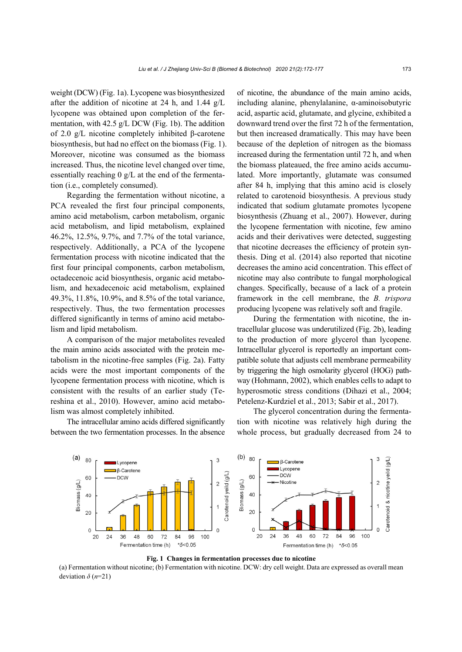weight (DCW) (Fig. 1a). Lycopene was biosynthesized after the addition of nicotine at 24 h, and 1.44 g/L lycopene was obtained upon completion of the fermentation, with 42.5 g/L DCW (Fig. 1b). The addition of 2.0 g/L nicotine completely inhibited β-carotene biosynthesis, but had no effect on the biomass (Fig. 1). Moreover, nicotine was consumed as the biomass increased. Thus, the nicotine level changed over time, essentially reaching 0 g/L at the end of the fermentation (i.e., completely consumed).

Regarding the fermentation without nicotine, a PCA revealed the first four principal components, amino acid metabolism, carbon metabolism, organic acid metabolism, and lipid metabolism, explained 46.2%, 12.5%, 9.7%, and 7.7% of the total variance, respectively. Additionally, a PCA of the lycopene fermentation process with nicotine indicated that the first four principal components, carbon metabolism, octadecenoic acid biosynthesis, organic acid metabolism, and hexadecenoic acid metabolism, explained 49.3%, 11.8%, 10.9%, and 8.5% of the total variance, respectively. Thus, the two fermentation processes differed significantly in terms of amino acid metabolism and lipid metabolism.

A comparison of the major metabolites revealed the main amino acids associated with the protein metabolism in the nicotine-free samples (Fig. 2a). Fatty acids were the most important components of the lycopene fermentation process with nicotine, which is consistent with the results of an earlier study (Tereshina et al., 2010). However, amino acid metabolism was almost completely inhibited.

The intracellular amino acids differed significantly between the two fermentation processes. In the absence

of nicotine, the abundance of the main amino acids, including alanine, phenylalanine, α-aminoisobutyric acid, aspartic acid, glutamate, and glycine, exhibited a downward trend over the first 72 h of the fermentation, but then increased dramatically. This may have been because of the depletion of nitrogen as the biomass increased during the fermentation until 72 h, and when the biomass plateaued, the free amino acids accumulated. More importantly, glutamate was consumed after 84 h, implying that this amino acid is closely related to carotenoid biosynthesis. A previous study indicated that sodium glutamate promotes lycopene biosynthesis (Zhuang et al., 2007). However, during the lycopene fermentation with nicotine, few amino acids and their derivatives were detected, suggesting that nicotine decreases the efficiency of protein synthesis. Ding et al. (2014) also reported that nicotine decreases the amino acid concentration. This effect of nicotine may also contribute to fungal morphological changes. Specifically, because of a lack of a protein framework in the cell membrane, the *B. trispora* producing lycopene was relatively soft and fragile.

During the fermentation with nicotine, the intracellular glucose was underutilized (Fig. 2b), leading to the production of more glycerol than lycopene. Intracellular glycerol is reportedly an important compatible solute that adjusts cell membrane permeability by triggering the high osmolarity glycerol (HOG) pathway (Hohmann, 2002), which enables cells to adapt to hyperosmotic stress conditions (Dihazi et al., 2004; Petelenz-Kurdziel et al., 2013; Sabir et al., 2017).

The glycerol concentration during the fermentation with nicotine was relatively high during the whole process, but gradually decreased from 24 to





(a) Fermentation without nicotine; (b) Fermentation with nicotine. DCW: dry cell weight. Data are expressed as overall mean deviation  $\delta$  ( $n=21$ )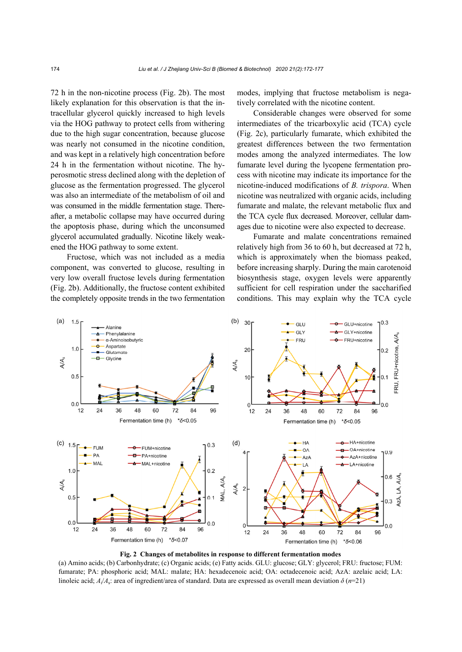72 h in the non-nicotine process (Fig. 2b). The most likely explanation for this observation is that the intracellular glycerol quickly increased to high levels via the HOG pathway to protect cells from withering due to the high sugar concentration, because glucose was nearly not consumed in the nicotine condition, and was kept in a relatively high concentration before 24 h in the fermentation without nicotine. The hyperosmotic stress declined along with the depletion of glucose as the fermentation progressed. The glycerol was also an intermediate of the metabolism of oil and was consumed in the middle fermentation stage. Thereafter, a metabolic collapse may have occurred during the apoptosis phase, during which the unconsumed glycerol accumulated gradually. Nicotine likely weakened the HOG pathway to some extent.

Fructose, which was not included as a media component, was converted to glucose, resulting in very low overall fructose levels during fermentation (Fig. 2b). Additionally, the fructose content exhibited the completely opposite trends in the two fermentation modes, implying that fructose metabolism is negatively correlated with the nicotine content.

Considerable changes were observed for some intermediates of the tricarboxylic acid (TCA) cycle (Fig. 2c), particularly fumarate, which exhibited the greatest differences between the two fermentation modes among the analyzed intermediates. The low fumarate level during the lycopene fermentation process with nicotine may indicate its importance for the nicotine-induced modifications of *B. trispora*. When nicotine was neutralized with organic acids, including fumarate and malate, the relevant metabolic flux and the TCA cycle flux decreased. Moreover, cellular damages due to nicotine were also expected to decrease.

Fumarate and malate concentrations remained relatively high from 36 to 60 h, but decreased at 72 h, which is approximately when the biomass peaked, before increasing sharply. During the main carotenoid biosynthesis stage, oxygen levels were apparently sufficient for cell respiration under the saccharified conditions. This may explain why the TCA cycle



**Fig. 2 Changes of metabolites in response to different fermentation modes** 

(a) Amino acids; (b) Carbonhydrate; (c) Organic acids; (e) Fatty acids. GLU: glucose; GLY: glycerol; FRU: fructose; FUM: fumarate; PA: phosphoric acid; MAL: malate; HA: hexadecenoic acid; OA: octadecenoic acid; AzA: azelaic acid; LA: linoleic acid; *A*i/*A*s: area of ingredient/area of standard. Data are expressed as overall mean deviation *δ* (*n*=21)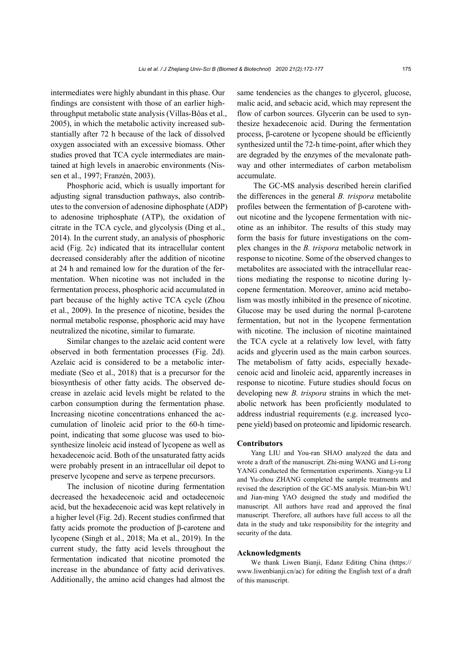intermediates were highly abundant in this phase. Our findings are consistent with those of an earlier highthroughput metabolic state analysis (Villas-Bôas et al., 2005), in which the metabolic activity increased substantially after 72 h because of the lack of dissolved oxygen associated with an excessive biomass. Other studies proved that TCA cycle intermediates are maintained at high levels in anaerobic environments (Nissen et al., 1997; Franzén, 2003).

Phosphoric acid, which is usually important for adjusting signal transduction pathways, also contributes to the conversion of adenosine diphosphate (ADP) to adenosine triphosphate (ATP), the oxidation of citrate in the TCA cycle, and glycolysis (Ding et al., 2014). In the current study, an analysis of phosphoric acid (Fig. 2c) indicated that its intracellular content decreased considerably after the addition of nicotine at 24 h and remained low for the duration of the fermentation. When nicotine was not included in the fermentation process, phosphoric acid accumulated in part because of the highly active TCA cycle (Zhou et al., 2009). In the presence of nicotine, besides the normal metabolic response, phosphoric acid may have neutralized the nicotine, similar to fumarate.

Similar changes to the azelaic acid content were observed in both fermentation processes (Fig. 2d). Azelaic acid is considered to be a metabolic intermediate (Seo et al., 2018) that is a precursor for the biosynthesis of other fatty acids. The observed decrease in azelaic acid levels might be related to the carbon consumption during the fermentation phase. Increasing nicotine concentrations enhanced the accumulation of linoleic acid prior to the 60-h timepoint, indicating that some glucose was used to biosynthesize linoleic acid instead of lycopene as well as hexadecenoic acid. Both of the unsaturated fatty acids were probably present in an intracellular oil depot to preserve lycopene and serve as terpene precursors.

The inclusion of nicotine during fermentation decreased the hexadecenoic acid and octadecenoic acid, but the hexadecenoic acid was kept relatively in a higher level (Fig. 2d). Recent studies confirmed that fatty acids promote the production of β-carotene and lycopene (Singh et al., 2018; Ma et al., 2019). In the current study, the fatty acid levels throughout the fermentation indicated that nicotine promoted the increase in the abundance of fatty acid derivatives. Additionally, the amino acid changes had almost the same tendencies as the changes to glycerol, glucose, malic acid, and sebacic acid, which may represent the flow of carbon sources. Glycerin can be used to synthesize hexadecenoic acid. During the fermentation process, β-carotene or lycopene should be efficiently synthesized until the 72-h time-point, after which they are degraded by the enzymes of the mevalonate pathway and other intermediates of carbon metabolism accumulate.

The GC-MS analysis described herein clarified the differences in the general *B. trispora* metabolite profiles between the fermentation of β-carotene without nicotine and the lycopene fermentation with nicotine as an inhibitor. The results of this study may form the basis for future investigations on the complex changes in the *B. trispora* metabolic network in response to nicotine. Some of the observed changes to metabolites are associated with the intracellular reactions mediating the response to nicotine during lycopene fermentation. Moreover, amino acid metabolism was mostly inhibited in the presence of nicotine. Glucose may be used during the normal β-carotene fermentation, but not in the lycopene fermentation with nicotine. The inclusion of nicotine maintained the TCA cycle at a relatively low level, with fatty acids and glycerin used as the main carbon sources. The metabolism of fatty acids, especially hexadecenoic acid and linoleic acid, apparently increases in response to nicotine. Future studies should focus on developing new *B. trispora* strains in which the metabolic network has been proficiently modulated to address industrial requirements (e.g. increased lycopene yield) based on proteomic and lipidomic research.

### **Contributors**

Yang LIU and You-ran SHAO analyzed the data and wrote a draft of the manuscript. Zhi-ming WANG and Li-rong YANG conducted the fermentation experiments. Xiang-yu LI and Yu-zhou ZHANG completed the sample treatments and revised the description of the GC-MS analysis. Mian-bin WU and Jian-ming YAO designed the study and modified the manuscript. All authors have read and approved the final manuscript. Therefore, all authors have full access to all the data in the study and take responsibility for the integrity and security of the data.

#### **Acknowledgments**

We thank Liwen Bianji, Edanz Editing China (https:// www.liwenbianji.cn/ac) for editing the English text of a draft of this manuscript.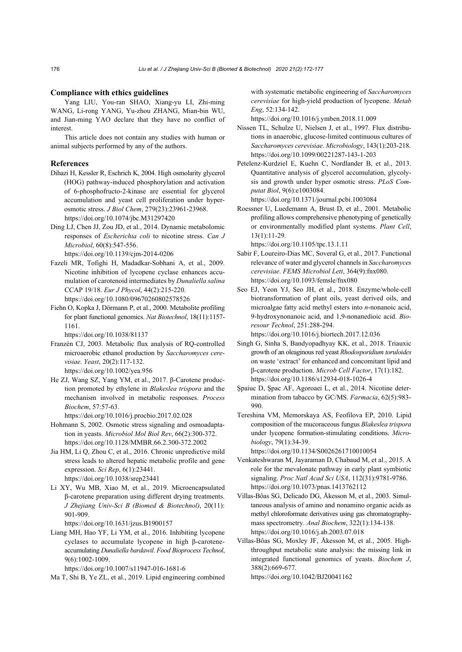#### **Compliance with ethics guidelines**

Yang LIU, You-ran SHAO, Xiang-yu LI, Zhi-ming WANG, Li-rong YANG, Yu-zhou ZHANG, Mian-bin WU, and Jian-ming YAO declare that they have no conflict of interest.

This article does not contain any studies with human or animal subjects performed by any of the authors.

#### **References**

- Dihazi H, Kessler R, Eschrich K, 2004. High osmolarity glycerol (HOG) pathway-induced phosphorylation and activation of 6-phosphofructo-2-kinase are essential for glycerol accumulation and yeast cell proliferation under hyperosmotic stress. *J Biol Chem*, 279(23):23961-23968. https://doi.org/10.1074/jbc.M31297420
- Ding LJ, Chen JJ, Zou JD, et al., 2014. Dynamic metabolomic responses of *Escherichia coli* to nicotine stress. *Can J Microbiol*, 60(8):547-556.

https://doi.org/10.1139/cjm-2014-0206

- Fazeli MR, Tofighi H, Madadkar-Sobhani A, et al., 2009. Nicotine inhibition of lycopene cyclase enhances accumulation of carotenoid intermediates by *Dunaliella salina*  CCAP 19/18. *Eur J Phycol*, 44(2):215-220. https://doi.org/10.1080/09670260802578526
- Fiehn O, Kopka J, Dörmann P, et al., 2000. Metabolite profiling for plant functional genomics. *Nat Biotechnol*, 18(11):1157- 1161.

https://doi.org/10.1038/81137

- Franzén CJ, 2003. Metabolic flux analysis of RQ-controlled microaerobic ethanol production by *Saccharomyces cerevisiae*. *Yeast*, 20(2):117-132. https://doi.org/10.1002/yea.956
- He ZJ, Wang SZ, Yang YM, et al., 2017. β-Carotene production promoted by ethylene in *Blakeslea trispora* and the mechanism involved in metabolic responses. *Process Biochem*, 57:57-63.

https://doi.org/10.1016/j.procbio.2017.02.028

Hohmann S, 2002. Osmotic stress signaling and osmoadaptation in yeasts. *Microbiol Mol Biol Rev*, 66(2):300-372. https://doi.org/10.1128/MMBR.66.2.300-372.2002

Jia HM, Li Q, Zhou C, et al., 2016. Chronic unpredictive mild stress leads to altered hepatic metabolic profile and gene expression. *Sci Rep*, 6(1):23441. https://doi.org/10.1038/srep23441

Li XY, Wu MB, Xiao M, et al., 2019. Microencapsulated β-carotene preparation using different drying treatments. *J Zhejiang Univ-Sci B (Biomed & Biotechnol)*, 20(11): 901-909.

https://doi.org/10.1631/jzus.B1900157

Liang MH, Hao YF, Li YM, et al., 2016. Inhibiting lycopene cyclases to accumulate lycopene in high β-caroteneaccumulating *Dunaliella bardawil*. *Food Bioprocess Technol*, 9(6):1002-1009.

https://doi.org/10.1007/s11947-016-1681-6

Ma T, Shi B, Ye ZL, et al., 2019. Lipid engineering combined

with systematic metabolic engineering of *Saccharomyces cerevisiae* for high-yield production of lycopene. *Metab Eng*, 52:134-142.

https://doi.org/10.1016/j.ymben.2018.11.009

- Nissen TL, Schulze U, Nielsen J, et al., 1997. Flux distributions in anaerobic, glucose-limited continuous cultures of *Saccharomyces cerevisiae*. *Microbiology*, 143(1):203-218. https://doi.org/10.1099/00221287-143-1-203
- Petelenz-Kurdziel E, Kuehn C, Nordlander B, et al., 2013. Quantitative analysis of glycerol accumulation, glycolysis and growth under hyper osmotic stress. *PLoS Computat Biol*, 9(6):e1003084.

https://doi.org/10.1371/journal.pcbi.1003084

Roessner U, Luedemann A, Brust D, et al., 2001. Metabolic profiling allows comprehensive phenotyping of genetically or environmentally modified plant systems. *Plant Cell*, 13(1):11-29.

https://doi.org/10.1105/tpc.13.1.11

- Sabir F, Loureiro-Dias MC, Soveral G, et al., 2017. Functional relevance of water and glycerol channels in *Saccharomyces cerevisiae*. *FEMS Microbiol Lett*, 364(9):fnx080. https://doi.org/10.1093/femsle/fnx080
- Seo EJ, Yeon YJ, Seo JH, et al., 2018. Enzyme/whole-cell biotransformation of plant oils, yeast derived oils, and microalgae fatty acid methyl esters into *n*-nonanoic acid, 9-hydroxynonanoic acid, and 1,9-nonanedioic acid. *Bioresour Technol*, 251:288-294.

https://doi.org/10.1016/j.biortech.2017.12.036

- Singh G, Sinha S, Bandyopadhyay KK, et al., 2018. Triauxic growth of an oleaginous red yeast *Rhodosporidium toruloides* on waste 'extract' for enhanced and concomitant lipid and β-carotene production. *Microb Cell Factor*, 17(1):182. https://doi.org/10.1186/s12934-018-1026-4
- Şpaiuc D, Şpac AF, Agoroaei L, et al., 2014. Nicotine determination from tabacco by GC/MS. *Farmacia*, 62(5):983- 990.
- Tereshina VM, Memorskaya AS, Feofilova EP, 2010. Lipid composition of the mucoraceous fungus *Blakeslea trispora* under lycopene formation-stimulating conditions. *Microbiology*, 79(1):34-39.

https://doi.org/10.1134/S0026261710010054

- Venkateshwaran M, Jayaraman D, Chabaud M, et al., 2015. A role for the mevalonate pathway in early plant symbiotic signaling. *Proc Natl Acad Sci USA*, 112(31):9781-9786. https://doi.org/10.1073/pnas.1413762112
- Villas-Bôas SG, Delicado DG, Åkesson M, et al., 2003. Simultaneous analysis of amino and nonamino organic acids as methyl chloroformate derivatives using gas chromatographymass spectrometry. *Anal Biochem*, 322(1):134-138. https://doi.org/10.1016/j.ab.2003.07.018
- Villas-Bôas SG, Moxley JF, Åkesson M, et al., 2005. Highthroughput metabolic state analysis: the missing link in integrated functional genomics of yeasts. *Biochem J*, 388(2):669-677.

https://doi.org/10.1042/BJ20041162